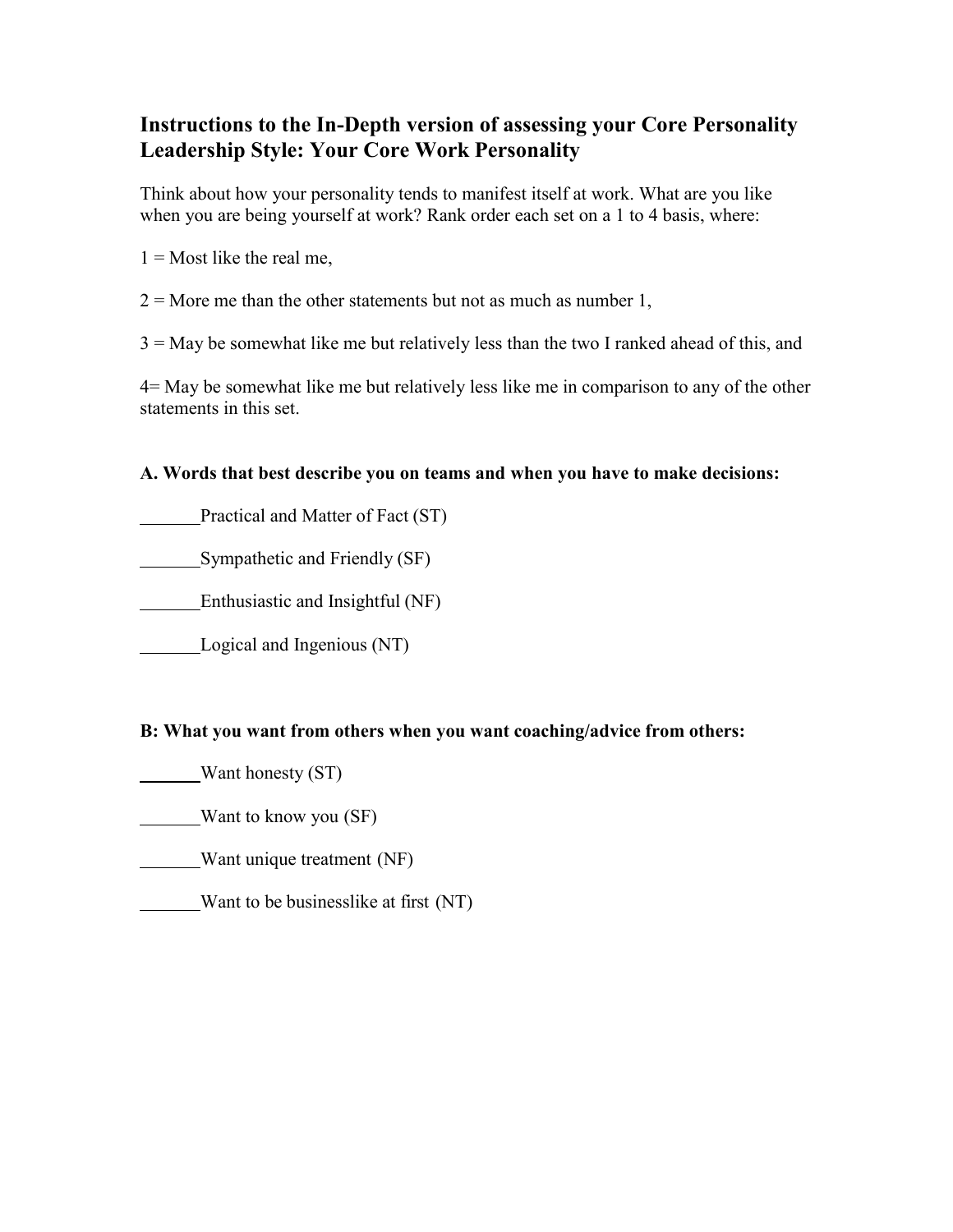## **Instructions to the In-Depth version of assessing your Core Personality Leadership Style: Your Core Work Personality**

Think about how your personality tends to manifest itself at work. What are you like when you are being yourself at work? Rank order each set on a 1 to 4 basis, where:

 $1 =$ Most like the real me,

 $2 =$  More me than the other statements but not as much as number 1,

 $3 =$  May be somewhat like me but relatively less than the two I ranked ahead of this, and

4= May be somewhat like me but relatively less like me in comparison to any of the other statements in this set.

## **A. Words that best describe you on teams and when you have to make decisions:**

Practical and Matter of Fact (ST)

Sympathetic and Friendly (SF)

Enthusiastic and Insightful (NF)

Logical and Ingenious (NT)

## **B: What you want from others when you want coaching/advice from others:**

- Want honesty (ST)
- Want to know you (SF)

Want unique treatment (NF)

Want to be businesslike at first (NT)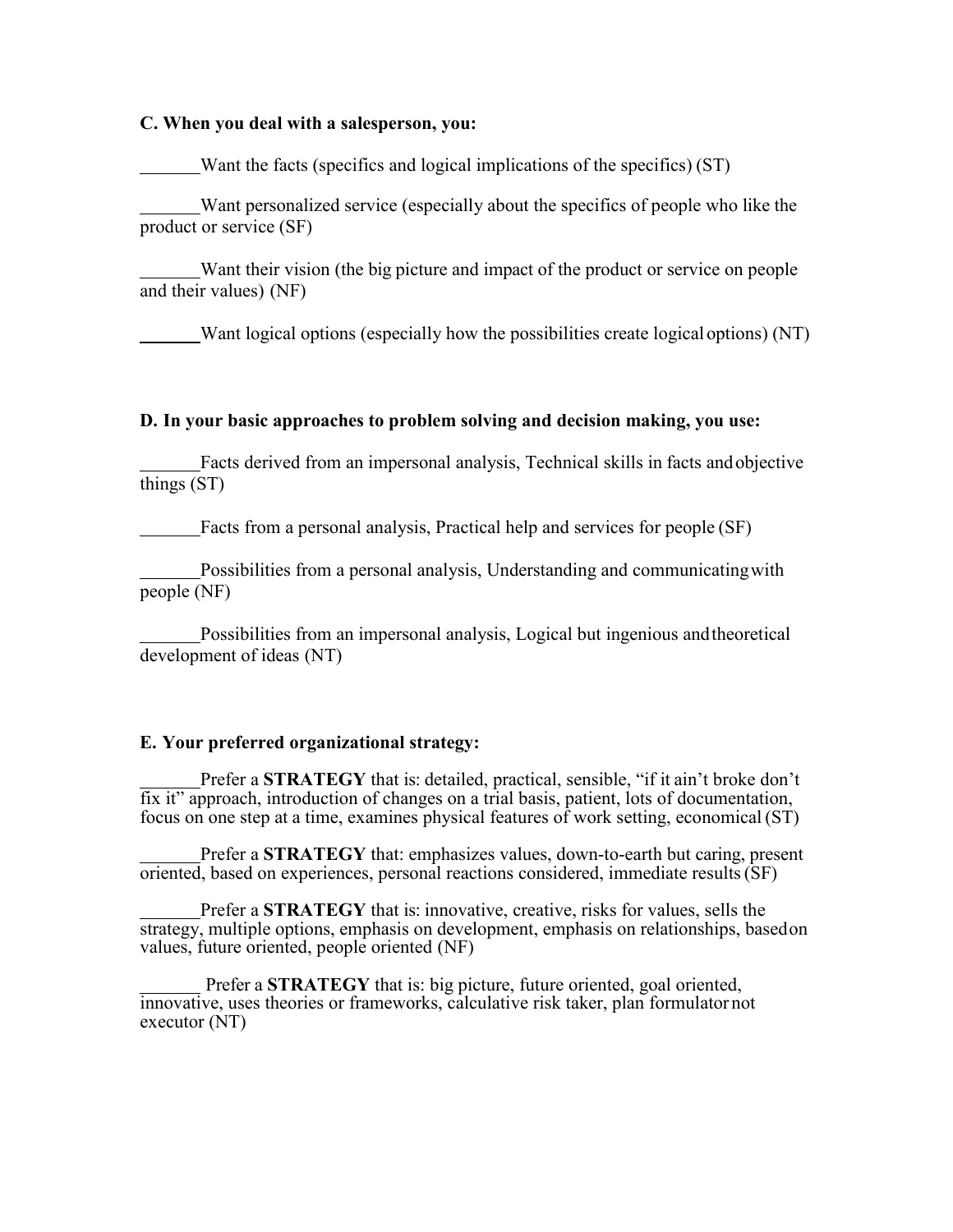#### **C. When you deal with a salesperson, you:**

Want the facts (specifics and logical implications of the specifics) (ST)

Want personalized service (especially about the specifics of people who like the product or service (SF)

Want their vision (the big picture and impact of the product or service on people and their values) (NF)

Want logical options (especially how the possibilities create logical options) (NT)

#### **D. In your basic approaches to problem solving and decision making, you use:**

Facts derived from an impersonal analysis, Technical skills in facts andobjective things (ST)

Facts from a personal analysis, Practical help and services for people (SF)

Possibilities from a personal analysis, Understanding and communicatingwith people (NF)

Possibilities from an impersonal analysis, Logical but ingenious andtheoretical development of ideas (NT)

#### **E. Your preferred organizational strategy:**

Prefer a **STRATEGY** that is: detailed, practical, sensible, "if it ain't broke don't fix it" approach, introduction of changes on a trial basis, patient, lots of documentation, focus on one step at a time, examines physical features of work setting, economical (ST)

Prefer a **STRATEGY** that: emphasizes values, down-to-earth but caring, present oriented, based on experiences, personal reactions considered, immediate results(SF)

Prefer a **STRATEGY** that is: innovative, creative, risks for values, sells the strategy, multiple options, emphasis on development, emphasis on relationships, basedon values, future oriented, people oriented (NF)

Prefer a **STRATEGY** that is: big picture, future oriented, goal oriented, innovative, uses theories or frameworks, calculative risk taker, plan formulator not executor (NT)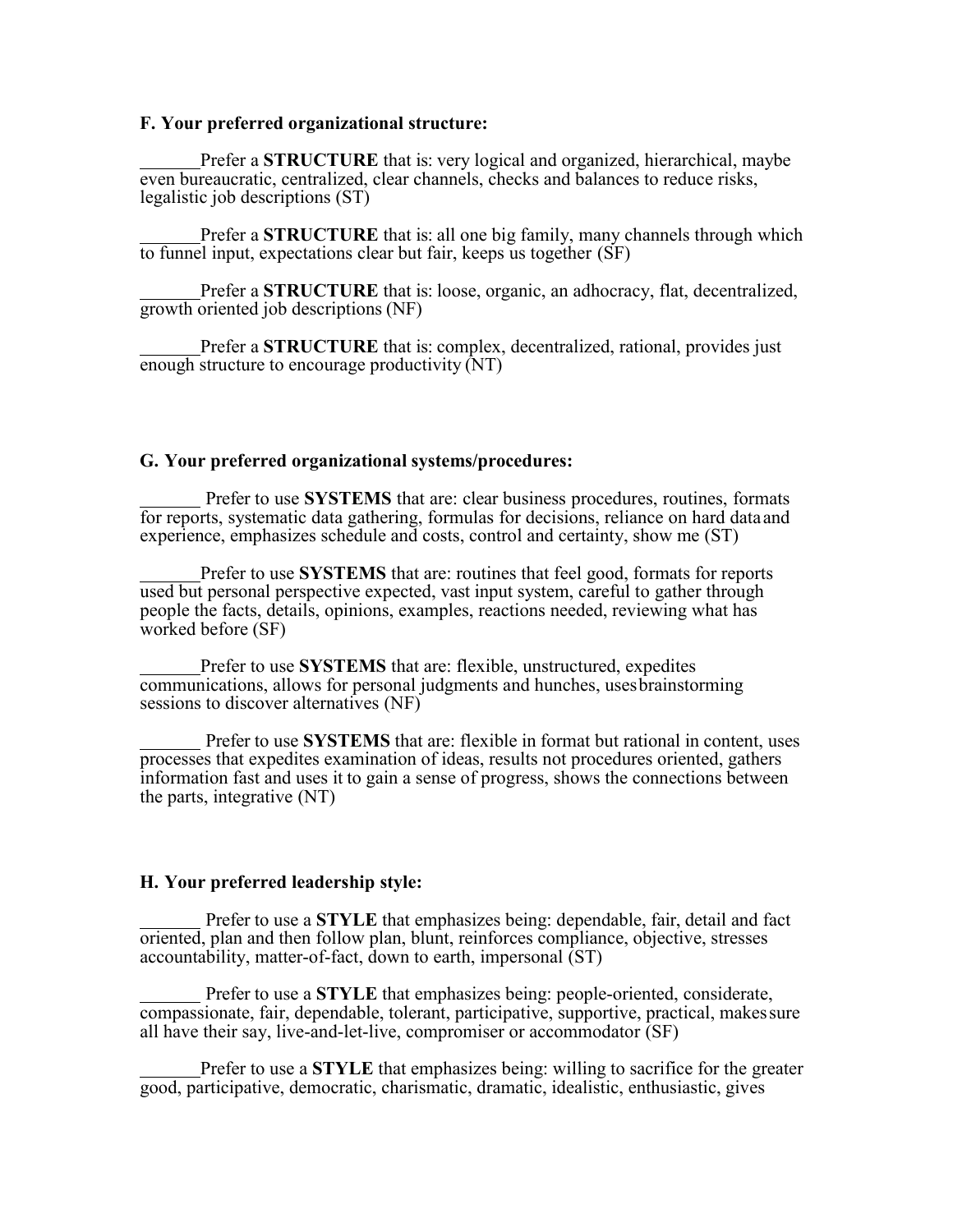#### **F. Your preferred organizational structure:**

Prefer a **STRUCTURE** that is: very logical and organized, hierarchical, maybe even bureaucratic, centralized, clear channels, checks and balances to reduce risks, legalistic job descriptions (ST)

Prefer a **STRUCTURE** that is: all one big family, many channels through which to funnel input, expectations clear but fair, keeps us together (SF)

Prefer a **STRUCTURE** that is: loose, organic, an adhocracy, flat, decentralized, growth oriented job descriptions (NF)

Prefer a **STRUCTURE** that is: complex, decentralized, rational, provides just enough structure to encourage productivity (NT)

#### **G. Your preferred organizational systems/procedures:**

Prefer to use **SYSTEMS** that are: clear business procedures, routines, formats for reports, systematic data gathering, formulas for decisions, reliance on hard dataand experience, emphasizes schedule and costs, control and certainty, show me (ST)

Prefer to use **SYSTEMS** that are: routines that feel good, formats for reports used but personal perspective expected, vast input system, careful to gather through people the facts, details, opinions, examples, reactions needed, reviewing what has worked before (SF)

Prefer to use **SYSTEMS** that are: flexible, unstructured, expedites communications, allows for personal judgments and hunches, usesbrainstorming sessions to discover alternatives (NF)

Prefer to use **SYSTEMS** that are: flexible in format but rational in content, uses processes that expedites examination of ideas, results not procedures oriented, gathers information fast and uses it to gain a sense of progress, shows the connections between the parts, integrative (NT)

#### **H. Your preferred leadership style:**

Prefer to use a **STYLE** that emphasizes being: dependable, fair, detail and fact oriented, plan and then follow plan, blunt, reinforces compliance, objective, stresses accountability, matter-of-fact, down to earth, impersonal (ST)

Prefer to use a **STYLE** that emphasizes being: people-oriented, considerate, compassionate, fair, dependable, tolerant, participative, supportive, practical, makessure all have their say, live-and-let-live, compromiser or accommodator (SF)

Prefer to use a **STYLE** that emphasizes being: willing to sacrifice for the greater good, participative, democratic, charismatic, dramatic, idealistic, enthusiastic, gives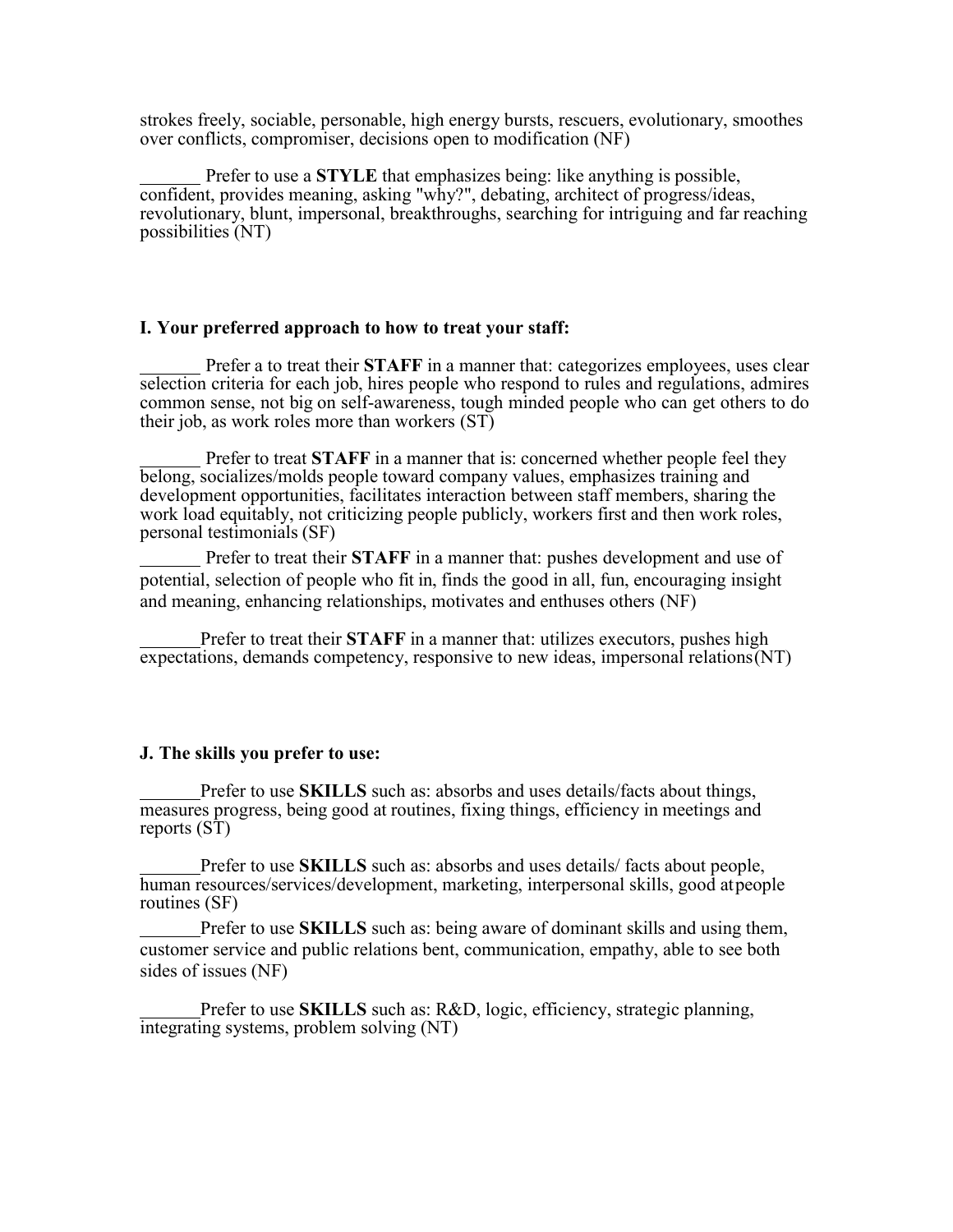strokes freely, sociable, personable, high energy bursts, rescuers, evolutionary, smoothes over conflicts, compromiser, decisions open to modification (NF)

Prefer to use a **STYLE** that emphasizes being: like anything is possible, confident, provides meaning, asking "why?", debating, architect of progress/ideas, revolutionary, blunt, impersonal, breakthroughs, searching for intriguing and far reaching possibilities (NT)

#### **I. Your preferred approach to how to treat your staff:**

Prefer a to treat their **STAFF** in a manner that: categorizes employees, uses clear selection criteria for each job, hires people who respond to rules and regulations, admires common sense, not big on self-awareness, tough minded people who can get others to do their job, as work roles more than workers (ST)

Prefer to treat **STAFF** in a manner that is: concerned whether people feel they belong, socializes/molds people toward company values, emphasizes training and development opportunities, facilitates interaction between staff members, sharing the work load equitably, not criticizing people publicly, workers first and then work roles, personal testimonials (SF)

Prefer to treat their **STAFF** in a manner that: pushes development and use of potential, selection of people who fit in, finds the good in all, fun, encouraging insight and meaning, enhancing relationships, motivates and enthuses others (NF)

Prefer to treat their **STAFF** in a manner that: utilizes executors, pushes high expectations, demands competency, responsive to new ideas, impersonal relations(NT)

#### **J. The skills you prefer to use:**

Prefer to use **SKILLS** such as: absorbs and uses details/facts about things, measures progress, being good at routines, fixing things, efficiency in meetings and reports (ST)

Prefer to use **SKILLS** such as: absorbs and uses details/ facts about people, human resources/services/development, marketing, interpersonal skills, good atpeople routines (SF)

Prefer to use **SKILLS** such as: being aware of dominant skills and using them, customer service and public relations bent, communication, empathy, able to see both sides of issues (NF)

Prefer to use **SKILLS** such as: R&D, logic, efficiency, strategic planning, integrating systems, problem solving (NT)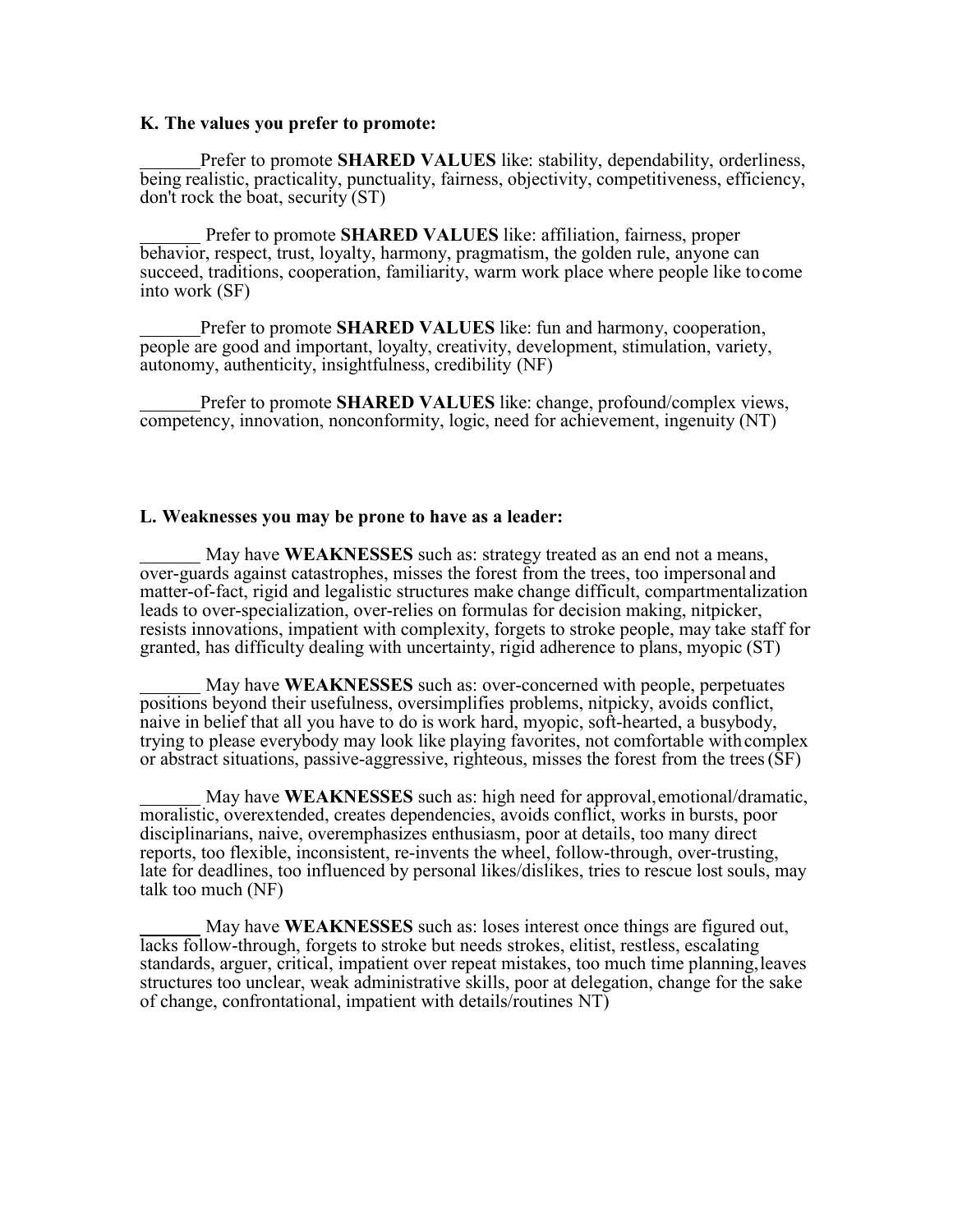#### **K. The values you prefer to promote:**

Prefer to promote **SHARED VALUES** like: stability, dependability, orderliness, being realistic, practicality, punctuality, fairness, objectivity, competitiveness, efficiency, don't rock the boat, security (ST)

Prefer to promote **SHARED VALUES** like: affiliation, fairness, proper behavior, respect, trust, loyalty, harmony, pragmatism, the golden rule, anyone can succeed, traditions, cooperation, familiarity, warm work place where people like tocome into work (SF)

Prefer to promote **SHARED VALUES** like: fun and harmony, cooperation, people are good and important, loyalty, creativity, development, stimulation, variety, autonomy, authenticity, insightfulness, credibility (NF)

Prefer to promote **SHARED VALUES** like: change, profound/complex views, competency, innovation, nonconformity, logic, need for achievement, ingenuity (NT)

#### **L. Weaknesses you may be prone to have as a leader:**

May have **WEAKNESSES** such as: strategy treated as an end not a means, over-guards against catastrophes, misses the forest from the trees, too impersonal and matter-of-fact, rigid and legalistic structures make change difficult, compartmentalization leads to over-specialization, over-relies on formulas for decision making, nitpicker, resists innovations, impatient with complexity, forgets to stroke people, may take staff for granted, has difficulty dealing with uncertainty, rigid adherence to plans, myopic (ST)

May have **WEAKNESSES** such as: over-concerned with people, perpetuates positions beyond their usefulness, oversimplifies problems, nitpicky, avoids conflict, naive in belief that all you have to do is work hard, myopic, soft-hearted, a busybody, trying to please everybody may look like playing favorites, not comfortable with complex or abstract situations, passive-aggressive, righteous, misses the forest from the trees(SF)

May have **WEAKNESSES** such as: high need for approval,emotional/dramatic, moralistic, overextended, creates dependencies, avoids conflict, works in bursts, poor disciplinarians, naive, overemphasizes enthusiasm, poor at details, too many direct reports, too flexible, inconsistent, re-invents the wheel, follow-through, over-trusting, late for deadlines, too influenced by personal likes/dislikes, tries to rescue lost souls, may talk too much (NF)

May have **WEAKNESSES** such as: loses interest once things are figured out, lacks follow-through, forgets to stroke but needs strokes, elitist, restless, escalating standards, arguer, critical, impatient over repeat mistakes, too much time planning,leaves structures too unclear, weak administrative skills, poor at delegation, change for the sake of change, confrontational, impatient with details/routines  $NT\tilde{)}$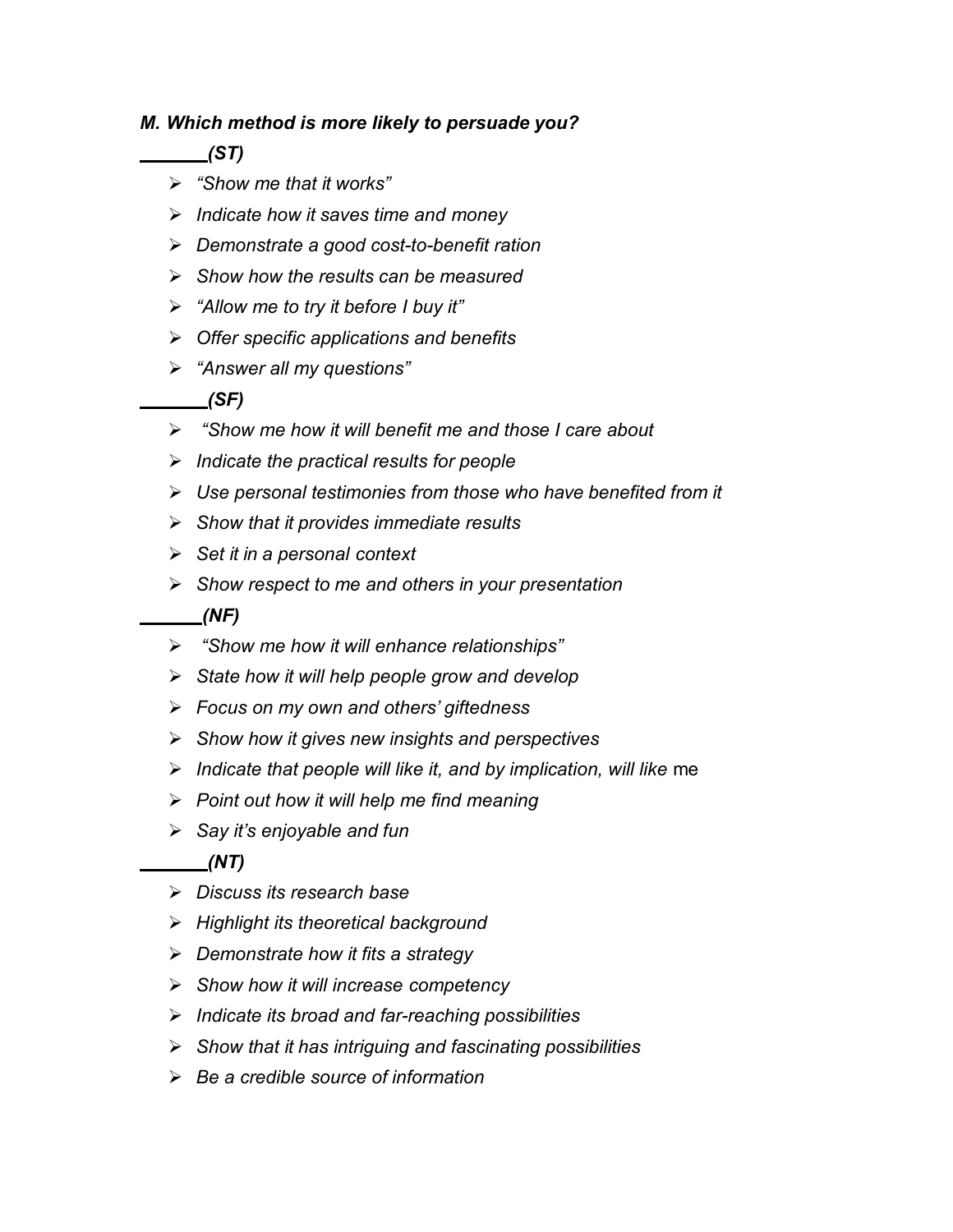## *M. Which method is more likely to persuade you?*

*(ST)*

- *"Show me that it works"*
- *Indicate how it saves time and money*
- *Demonstrate a good cost-to-benefit ration*
- *Show how the results can be measured*
- *"Allow me to try it before I buy it"*
- *Offer specific applications and benefits*
- *"Answer all my questions"*

## *(SF)*

- *"Show me how it will benefit me and those I care about*
- *Indicate the practical results for people*
- *Use personal testimonies from those who have benefited from it*
- *Show that it provides immediate results*
- *Set it in a personal context*
- *Show respect to me and others in your presentation*

### *(NF)*

- *"Show me how it will enhance relationships"*
- *State how it will help people grow and develop*
- *Focus on my own and others' giftedness*
- *Show how it gives new insights and perspectives*
- *Indicate that people will like it, and by implication, will like* me
- *Point out how it will help me find meaning*
- *Say it's enjoyable and fun*

*(NT)*

- *Discuss its research base*
- *Highlight its theoretical background*
- *Demonstrate how it fits a strategy*
- *Show how it will increase competency*
- *Indicate its broad and far-reaching possibilities*
- *Show that it has intriguing and fascinating possibilities*
- *Be a credible source of information*